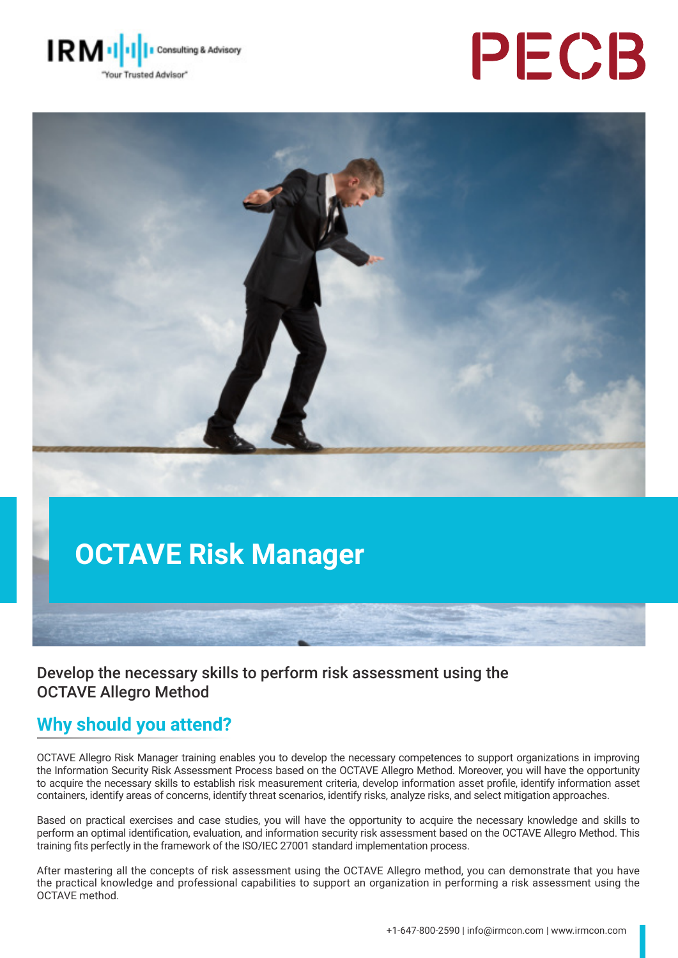





# **OCTAVE Risk Manager**

#### Develop the necessary skills to perform risk assessment using the OCTAVE Allegro Method

## **Why should you attend?**

OCTAVE Allegro Risk Manager training enables you to develop the necessary competences to support organizations in improving the Information Security Risk Assessment Process based on the OCTAVE Allegro Method. Moreover, you will have the opportunity to acquire the necessary skills to establish risk measurement criteria, develop information asset profile, identify information asset containers, identify areas of concerns, identify threat scenarios, identify risks, analyze risks, and select mitigation approaches.

Based on practical exercises and case studies, you will have the opportunity to acquire the necessary knowledge and skills to perform an optimal identification, evaluation, and information security risk assessment based on the OCTAVE Allegro Method. This training fits perfectly in the framework of the ISO/IEC 27001 standard implementation process.

After mastering all the concepts of risk assessment using the OCTAVE Allegro method, you can demonstrate that you have the practical knowledge and professional capabilities to support an organization in performing a risk assessment using the OCTAVE method.